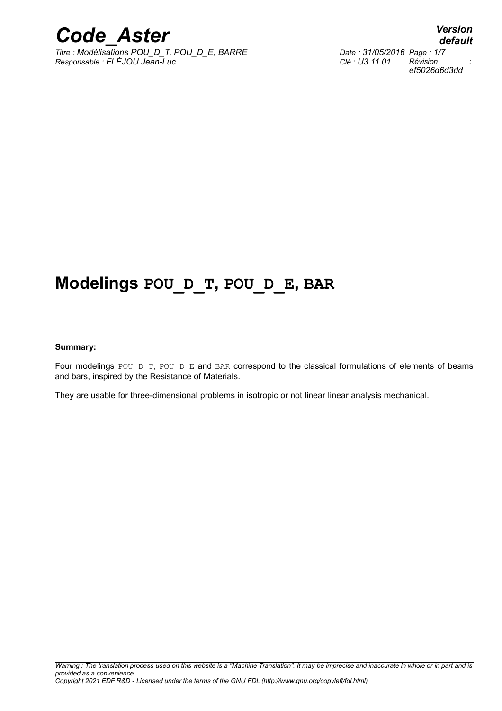

*Titre : Modélisations POU\_D\_T, POU\_D\_E, BARRE Responsable : FLÉJOU Jean-Luc Clé : U3.11.01 Révision :*

*default ef5026d6d3dd*

# **Modelings POU\_D\_T, POU\_D\_E, BAR**

#### **Summary:**

Four modelings POU D\_T, POU\_D\_E and BAR correspond to the classical formulations of elements of beams and bars, inspired by the Resistance of Materials.

They are usable for three-dimensional problems in isotropic or not linear linear analysis mechanical.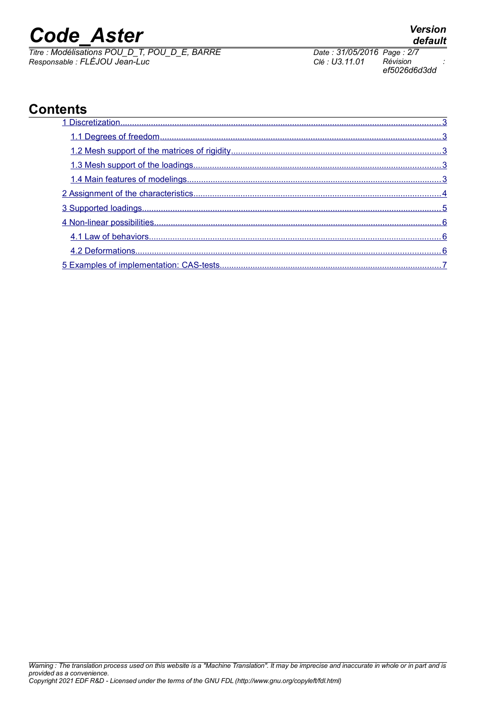**Contents**

 $\overline{T}$ *Titre : Modélisations POU\_D\_T, POU\_D\_E, BARRE Responsable : FLÉJOU Jean-Luc Clé : U3.11.01 Révision :*

*ef5026d6d3dd*

## [1 Discretization ........................................................................................................................................3](#page-2-4)  [1.1 Degrees of freedom .......................................................................................................................3](#page-2-3)  [1.2 Mesh support of the matrices of rigidity .........................................................................................3](#page-2-2)  [1.3 Mesh support of the loadings .........................................................................................................3](#page-2-1)  [1.4 Main features of modelings ............................................................................................................3](#page-2-0)  [2 Assignment of the characteristics .........................................................................................................4](#page-3-0)  [3 Supported loadings ...............................................................................................................................5](#page-4-0)  [4 Non-linear possibilities ..........................................................................................................................6](#page-5-2)  [4.1 Law of behaviors ............................................................................................................................6](#page-5-1)  [4.2 Deformations .................................................................................................................................6](#page-5-0)  [5 Examples of implementation: CAS-tests ..............................................................................................7](#page-6-0)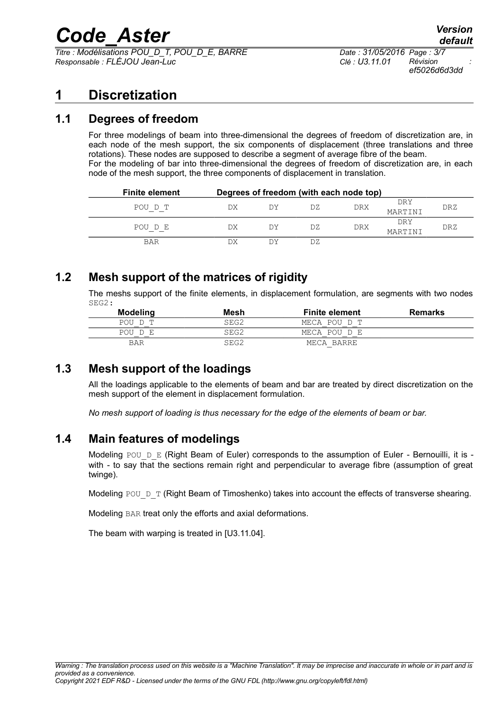*Titre : Modélisations POU\_D\_T, POU\_D\_E, BARRE Date : 31/05/2016 Page : 3/7 Responsable : FLÉJOU Jean-Luc Clé : U3.11.01 Révision :*

# <span id="page-2-4"></span>**1 Discretization**

### **1.1 Degrees of freedom**

<span id="page-2-3"></span>For three modelings of beam into three-dimensional the degrees of freedom of discretization are, in each node of the mesh support, the six components of displacement (three translations and three rotations). These nodes are supposed to describe a segment of average fibre of the beam. For the modeling of bar into three-dimensional the degrees of freedom of discretization are, in each node of the mesh support, the three components of displacement in translation.

| <b>Finite element</b> | Degrees of freedom (with each node top) |    |     |            |                |     |
|-----------------------|-----------------------------------------|----|-----|------------|----------------|-----|
| POU D T               | DX                                      | DУ | DZ. | <b>DRX</b> | DRY<br>MARTINI | DRZ |
| POU D E               | DX                                      | DΥ | DZ. | DRX        | DRY<br>MARTINI | DRZ |
| <b>BAR</b>            |                                         |    | DZ. |            |                |     |

### **1.2 Mesh support of the matrices of rigidity**

<span id="page-2-2"></span>The meshs support of the finite elements, in displacement formulation, are segments with two nodes SEG2:

| <b>Modeling</b> | Mesh | <b>Finite element</b> | <b>Remarks</b> |
|-----------------|------|-----------------------|----------------|
| POU D T         | SEG2 | MECA POU D T          |                |
| POU D E         | SEG2 | MECA POU D E          |                |
| BAR             | SEG2 | MECA BARRE            |                |

### **1.3 Mesh support of the loadings**

<span id="page-2-1"></span>All the loadings applicable to the elements of beam and bar are treated by direct discretization on the mesh support of the element in displacement formulation.

*No mesh support of loading is thus necessary for the edge of the elements of beam or bar.*

### **1.4 Main features of modelings**

<span id="page-2-0"></span>Modeling POU  $D$  E (Right Beam of Euler) corresponds to the assumption of Euler - Bernouilli, it is with - to say that the sections remain right and perpendicular to average fibre (assumption of great twinge).

Modeling POU  $D$  T (Right Beam of Timoshenko) takes into account the effects of transverse shearing.

Modeling BAR treat only the efforts and axial deformations.

The beam with warping is treated in [U3.11.04].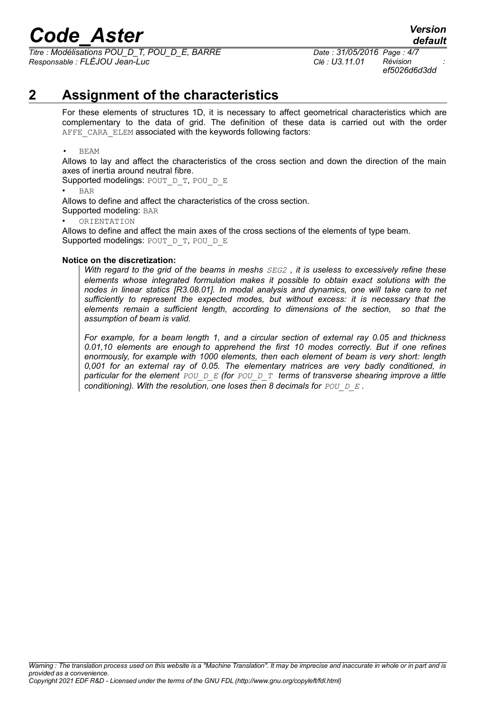*Titre : Modélisations POU\_D\_T, POU\_D\_E, BARRE Date : 31/05/2016 Page : 4/7 Responsable : FLÉJOU Jean-Luc Clé : U3.11.01 Révision :*

# **2 Assignment of the characteristics**

<span id="page-3-0"></span>For these elements of structures 1D, it is necessary to affect geometrical characteristics which are complementary to the data of grid. The definition of these data is carried out with the order AFFE\_CARA\_ELEM associated with the keywords following factors:

• BEAM

Allows to lay and affect the characteristics of the cross section and down the direction of the main axes of inertia around neutral fibre.

Supported modelings: POUT D\_T, POU\_D\_E

• BAR

Allows to define and affect the characteristics of the cross section.

Supported modeling: BAR

• ORIENTATION

Allows to define and affect the main axes of the cross sections of the elements of type beam. Supported modelings: POUT D\_T, POU\_D\_E

#### **Notice on the discretization:**

*With regard to the grid of the beams in meshs SEG2 , it is useless to excessively refine these elements whose integrated formulation makes it possible to obtain exact solutions with the nodes in linear statics [R3.08.01]. In modal analysis and dynamics, one will take care to net sufficiently to represent the expected modes, but without excess: it is necessary that the elements remain a sufficient length, according to dimensions of the section, so that the assumption of beam is valid.*

*For example, for a beam length 1, and a circular section of external ray 0.05 and thickness 0.01,10 elements are enough to apprehend the first 10 modes correctly. But if one refines enormously, for example with 1000 elements, then each element of beam is very short: length 0,001 for an external ray of 0.05. The elementary matrices are very badly conditioned, in particular for the element POU\_D\_E (for POU\_D\_T terms of transverse shearing improve a little conditioning). With the resolution, one loses then 8 decimals for POU D E.*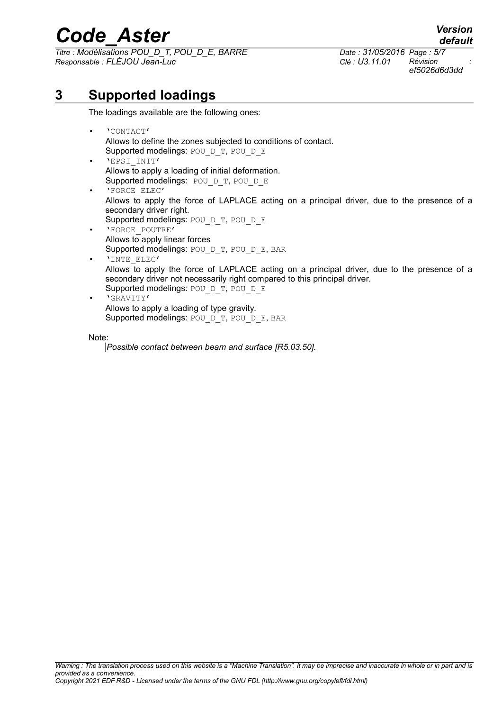*Titre : Modélisations POU\_D\_T, POU\_D\_E, BARRE Date : 31/05/2016 Page : 5/7 Responsable : FLÉJOU Jean-Luc Clé : U3.11.01 Révision :*

*default ef5026d6d3dd*

# **3 Supported loadings**

<span id="page-4-0"></span>The loadings available are the following ones:

- 'CONTACT' Allows to define the zones subjected to conditions of contact. Supported modelings: POU D\_T, POU\_D\_E
- 'EPSI\_INIT' Allows to apply a loading of initial deformation. Supported modelings: POU D T, POU D E
- 'FORCE\_ELEC' Allows to apply the force of LAPLACE acting on a principal driver, due to the presence of a secondary driver right.
- Supported modelings: POU D T, POU D E • 'FORCE\_POUTRE' Allows to apply linear forces Supported modelings: POU D\_T, POU\_D\_E, BAR
- 'INTE\_ELEC' Allows to apply the force of LAPLACE acting on a principal driver, due to the presence of a secondary driver not necessarily right compared to this principal driver. Supported modelings: POU D\_T, POU\_D\_E
- 'GRAVITY' Allows to apply a loading of type gravity. Supported modelings: POU D\_T, POU\_D\_E, BAR

Note:

*Possible contact between beam and surface [R5.03.50].*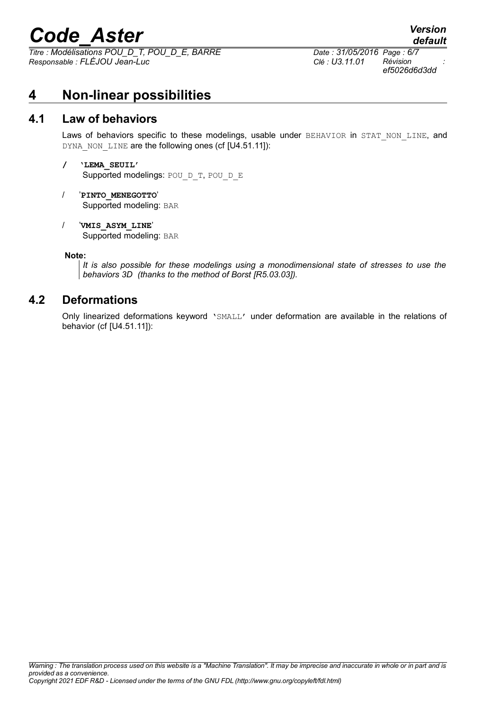# *Code\_Aster Version*<br>*default*<br>*Citre : Modélisations POU D T. POU D E. BARRE Date : 31/05/2016 Page : 6/7*

*Titre : Modélisations POU\_D\_T, POU\_D\_E, BARRE Date : 31/05/2016 Page : 6/7 Responsable : FLÉJOU Jean-Luc Clé : U3.11.01 Révision :*

*ef5026d6d3dd*

*default*

## <span id="page-5-2"></span>**4 Non-linear possibilities**

#### **4.1 Law of behaviors**

<span id="page-5-1"></span>Laws of behaviors specific to these modelings, usable under BEHAVIOR in STAT NON LINE, and DYNA NON LINE are the following ones (cf [U4.51.11]):

#### **/ 'LEMA\_SEUIL'** Supported modelings: POU D\_T, POU\_D\_E

- / '**PINTO\_MENEGOTTO**' Supported modeling: BAR
- / '**VMIS\_ASYM\_LINE**'

Supported modeling: BAR

#### **Note:**

*It is also possible for these modelings using a monodimensional state of stresses to use the behaviors 3D (thanks to the method of Borst [R5.03.03]).*

#### **4.2 Deformations**

<span id="page-5-0"></span>Only linearized deformations keyword 'SMALL' under deformation are available in the relations of behavior (cf [U4.51.11]):